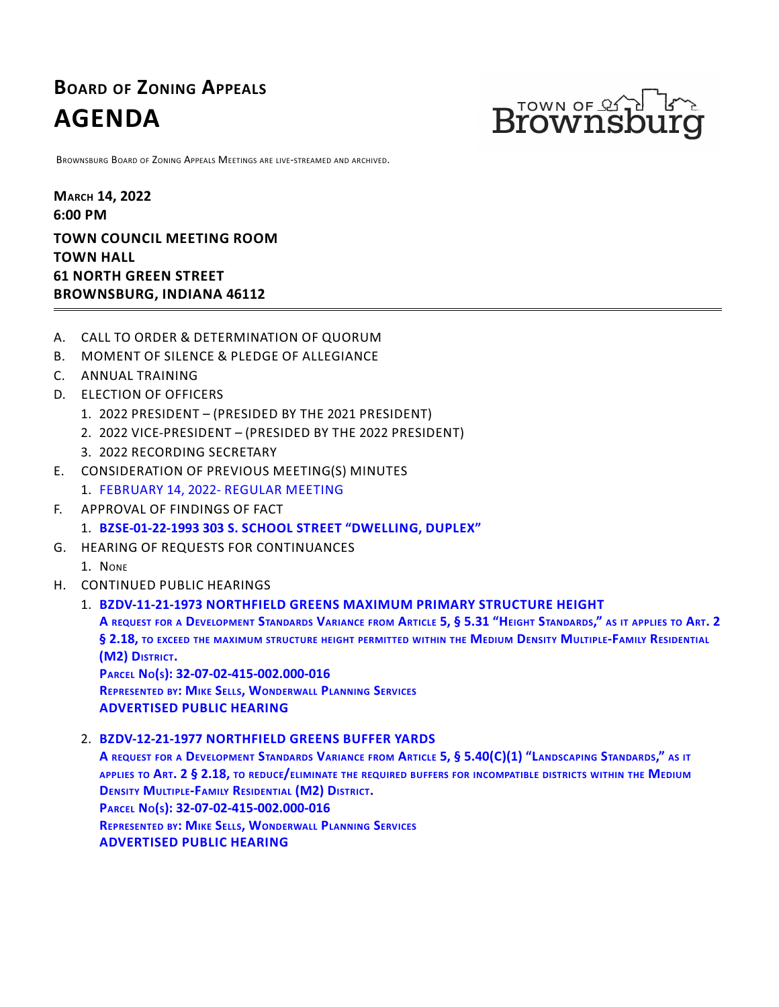# **BOARD OF ZONING APPEALS AGENDA**



BROWNSBURG BOARD OF ZONING APPEALS MEETINGS ARE LIVE-STREAMED AND ARCHIVED.

**MARCH 14, 2022 6:00 PM TOWN COUNCIL MEETING ROOM TOWN HALL 61 NORTH GREEN STREET BROWNSBURG, INDIANA 46112**

- A. CALL TO ORDER & DETERMINATION OF QUORUM
- B. MOMENT OF SILENCE & PLEDGE OF ALLEGIANCE
- C. ANNUAL TRAINING
- D. ELECTION OF OFFICERS
	- 1. 2022 PRESIDENT (PRESIDED BY THE 2021 PRESIDENT)
	- 2. 2022 VICE-PRESIDENT (PRESIDED BY THE 2022 PRESIDENT)
	- 3. 2022 RECORDING SECRETARY
- E. CONSIDERATION OF PREVIOUS MEETING(S) MINUTES
	- 1. [FEBRUARY](http://packets.shea.agendease.com/getdoc.php?cID=10000128&bID=165&mID=5622&iID=48701) 14, 2022- REGULAR MEETING
- F. APPROVAL OF FINDINGS OF FACT
	- 1. **[BZSE-01-22-1993](http://packets.shea.agendease.com/getdoc.php?cID=10000128&bID=165&mID=5622&iID=48690) 303 S. SCHOOL STREET "DWELLING, DUPLEX"**
- G. HEARING OF REQUESTS FOR CONTINUANCES
	- 1. NONE
- H. CONTINUED PUBLIC HEARINGS
	- 1. **[BZDV-11-21-1973](http://packets.shea.agendease.com/getdoc.php?cID=10000128&bID=165&mID=5622&iID=48692) NORTHFIELD GREENS MAXIMUM PRIMARY STRUCTURE HEIGHT** A REQUEST FOR A DEVELOPMENT STANDARDS VARIANCE FROM ARTICLE 5, § 5.31 "HEIGHT STANDARDS," AS IT APPLIES TO ART. 2 § 2.18, TO EXCEED THE MAXIMUM STRUCTURE HEIGHT PERMITTED WITHIN THE MEDIUM DENSITY MULTIPLE-FAMILY RESIDENTIAL **(M2) <sup>D</sup>ISTRICT. <sup>P</sup>ARCEL <sup>N</sup>O(S): 32-07-02-415-002.000-016 REPRESENTED BY: MIKE SELLS, WONDERWALL PLANNING SERVICES**
		- **ADVERTISED PUBLIC HEARING**

## 2. **[BZDV-12-21-1977](http://packets.shea.agendease.com/getdoc.php?cID=10000128&bID=165&mID=5622&iID=48694) NORTHFIELD GREENS BUFFER YARDS**

A REQUEST FOR A DEVELOPMENT STANDARDS VARIANCE FROM ARTICLE 5, § 5.40(C)(1) "LANDSCAPING STANDARDS," AS IT APPLIES TO ART. 2 § 2.18, TO REDUCE/ELIMINATE THE REQUIRED BUFFERS FOR INCOMPATIBLE DISTRICTS WITHIN THE MEDIUM DENSITY MULTIPLE-FAMILY RESIDENTIAL (M2) DISTRICT.<br>PARCEL No(s): 32-07-02-415-002.000-016 **REPRESENTED BY: MIKE SELLS, WONDERWALL PLANNING SERVICES ADVERTISED PUBLIC HEARING**